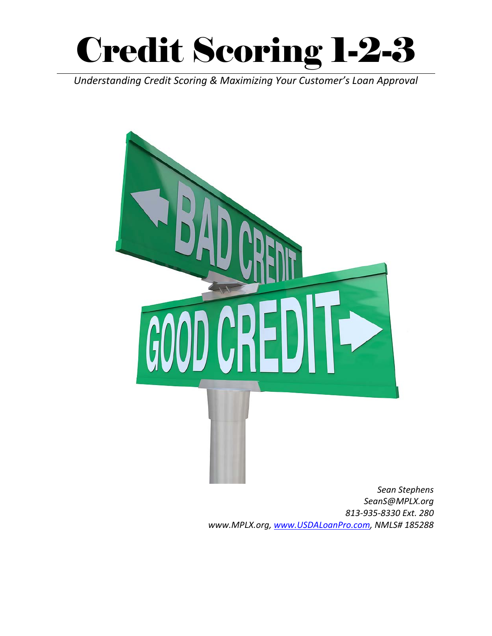

*Understanding Credit Scoring & Maximizing Your Customer's Loan Approval*



*SeanS@MPLX.org 813‐935‐8330 Ext. 280 www.MPLX.org, www.USDALoanPro.com, NMLS# 185288*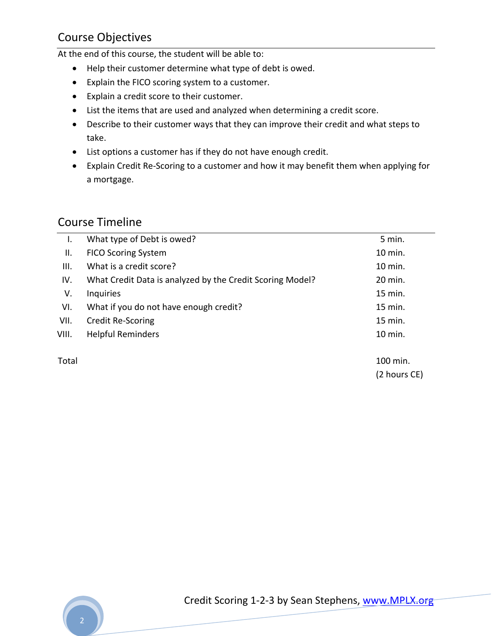## Course Objectives

At the end of this course, the student will be able to:

- Help their customer determine what type of debt is owed.
- Explain the FICO scoring system to a customer.
- Explain a credit score to their customer.
- List the items that are used and analyzed when determining a credit score.
- Describe to their customer ways that they can improve their credit and what steps to take.
- List options a customer has if they do not have enough credit.
- Explain Credit Re-Scoring to a customer and how it may benefit them when applying for a mortgage.

## Course Timeline

| I.    | What type of Debt is owed?                                | 5 min.  |
|-------|-----------------------------------------------------------|---------|
| Ш.    | <b>FICO Scoring System</b>                                | 10 min. |
| III.  | What is a credit score?                                   | 10 min. |
| IV.   | What Credit Data is analyzed by the Credit Scoring Model? | 20 min. |
| V.    | <b>Inquiries</b>                                          | 15 min. |
| VI.   | What if you do not have enough credit?                    | 15 min. |
| VII.  | <b>Credit Re-Scoring</b>                                  | 15 min. |
| VIII. | <b>Helpful Reminders</b>                                  | 10 min. |
|       |                                                           |         |

Total 100 min. (2 hours CE)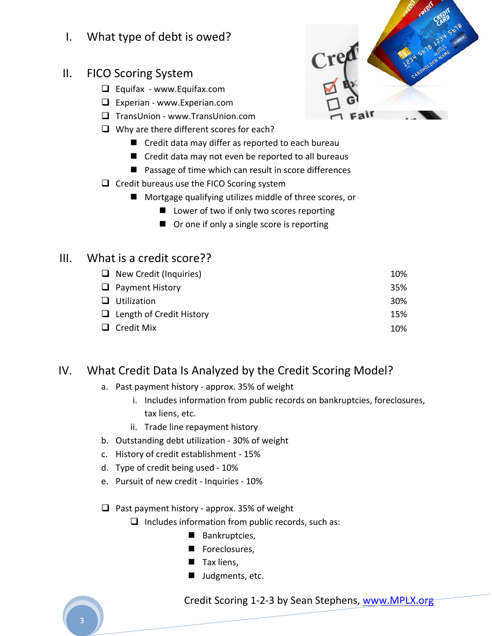- I. What type of debt is owed?
- II. FICO Scoring System
	- $\Box$  Equifax www.Equifax.com
	- Experian ‐ www.Experian.com
	- □ TransUnion www.TransUnion.com
	- $\Box$  Why are there different scores for each?
		- Credit data may differ as reported to each bureau
		- Credit data may not even be reported to all bureaus
		- Passage of time which can result in score differences
	- $\Box$  Credit bureaus use the FICO Scoring system
		- Mortgage qualifying utilizes middle of three scores, or
			- Lower of two if only two scores reporting
			- Or one if only a single score is reporting

## III. What is a credit score??

| $\Box$ New Credit (Inquiries)   | 10%        |
|---------------------------------|------------|
| $\Box$ Payment History          | 35%        |
| $\Box$ Utilization              | <b>30%</b> |
| $\Box$ Length of Credit History | 15%        |
| $\Box$ Credit Mix               | 10%        |
|                                 |            |

## IV. What Credit Data Is Analyzed by the Credit Scoring Model?

- a. Past payment history ‐ approx. 35% of weight
	- i. Includes information from public records on bankruptcies, foreclosures, tax liens, etc.
	- ii. Trade line repayment history
- b. Outstanding debt utilization ‐ 30% of weight
- c. History of credit establishment ‐ 15%
- d. Type of credit being used ‐ 10%
- e. Pursuit of new credit ‐ Inquiries ‐ 10%
- $\Box$  Past payment history approx. 35% of weight
	- $\Box$  Includes information from public records, such as:
		- Bankruptcies,
		- Foreclosures,
		- Tax liens,
		- **Judgments, etc.**

Credit Scoring 1-2-3 by Sean Stephens, www.MPLX.org-

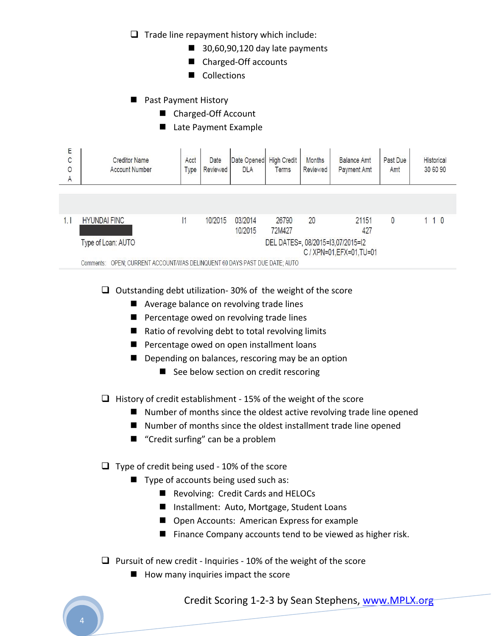$\Box$  Trade line repayment history which include:

- $\blacksquare$  30,60,90,120 day late payments
- Charged-Off accounts
- Collections
- **Past Payment History** 
	- Charged-Off Account
	- Late Payment Example

| E<br>C<br>$\circ$<br>A                                                               | <b>Creditor Name</b><br><b>Account Number</b>                                 | Acct<br><b>Type</b> | Date<br>Reviewed | Date Opened<br><b>DLA</b> | <b>High Credit</b><br><b>Terms</b> | <b>Months</b><br>Reviewed | <b>Balance Amt</b><br><b>Payment Amt</b> | Past Due<br>Amt | <b>Historical</b><br>30 60 90 |  |
|--------------------------------------------------------------------------------------|-------------------------------------------------------------------------------|---------------------|------------------|---------------------------|------------------------------------|---------------------------|------------------------------------------|-----------------|-------------------------------|--|
|                                                                                      |                                                                               |                     |                  |                           |                                    |                           |                                          |                 |                               |  |
|                                                                                      |                                                                               |                     |                  |                           |                                    |                           |                                          |                 |                               |  |
| 1.1                                                                                  | <b>HYUNDAI FINC</b>                                                           |                     | 10/2015          | 03/2014<br>10/2015        | 26790<br>72M427                    | 20                        | 21151<br>427                             | 0               | 1 1 0                         |  |
| DEL DATES=, 08/2015=13,07/2015=12<br>Type of Loan: AUTO<br>C / XPN=01, EFX=01, TU=01 |                                                                               |                     |                  |                           |                                    |                           |                                          |                 |                               |  |
|                                                                                      | OPEN; CURRENT ACCOUNT/WAS DELINQUENT 60 DAYS PAST DUE DATE; AUTO<br>Comments: |                     |                  |                           |                                    |                           |                                          |                 |                               |  |

 $\Box$  Outstanding debt utilization- 30% of the weight of the score

- Average balance on revolving trade lines
- **Percentage owed on revolving trade lines**
- $\blacksquare$  Ratio of revolving debt to total revolving limits
- **Percentage owed on open installment loans**
- Depending on balances, rescoring may be an option
	- See below section on credit rescoring

 $\Box$  History of credit establishment - 15% of the weight of the score

- $\blacksquare$  Number of months since the oldest active revolving trade line opened
- Number of months since the oldest installment trade line opened
- "Credit surfing" can be a problem

 $\Box$  Type of credit being used - 10% of the score

- Type of accounts being used such as:
	- Revolving: Credit Cards and HELOCs
	- Installment: Auto, Mortgage, Student Loans
	- Open Accounts: American Express for example
	- Finance Company accounts tend to be viewed as higher risk.
- $\Box$  Pursuit of new credit Inquiries 10% of the weight of the score
	- $\blacksquare$  How many inquiries impact the score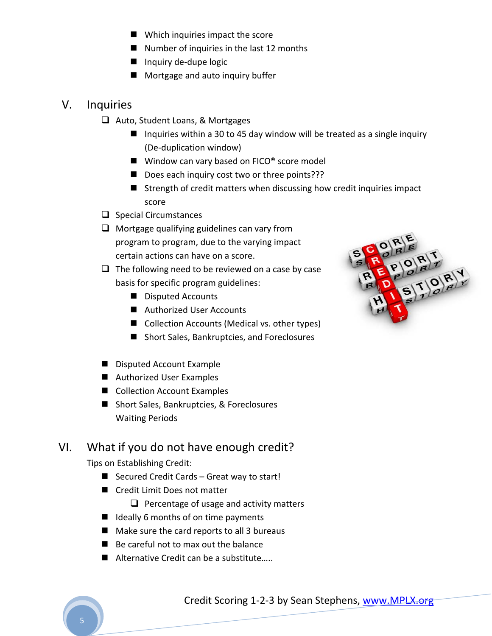- **Now Which inquiries impact the score**
- $\blacksquare$  Number of inquiries in the last 12 months
- Inquiry de-dupe logic
- **Mortgage and auto inquiry buffer**

## V. Inquiries

- □ Auto, Student Loans, & Mortgages
	- Inquiries within a 30 to 45 day window will be treated as a single inquiry (De‐duplication window)
	- $\blacksquare$  Window can vary based on FICO<sup>®</sup> score model
	- Does each inquiry cost two or three points???
	- $\blacksquare$  Strength of credit matters when discussing how credit inquiries impact score
- $\Box$  Special Circumstances
- $\Box$  Mortgage qualifying guidelines can vary from program to program, due to the varying impact certain actions can have on a score.
- $\Box$  The following need to be reviewed on a case by case basis for specific program guidelines:
	- Disputed Accounts
	- Authorized User Accounts
	- Collection Accounts (Medical vs. other types)
	- Short Sales, Bankruptcies, and Foreclosures
- Disputed Account Example
- Authorized User Examples
- Collection Account Examples
- Short Sales, Bankruptcies, & Foreclosures Waiting Periods

## VI. What if you do not have enough credit?

Tips on Establishing Credit:

- Secured Credit Cards Great way to start!
- Credit Limit Does not matter

 $\Box$  Percentage of usage and activity matters

- $\blacksquare$  Ideally 6 months of on time payments
- $\blacksquare$  Make sure the card reports to all 3 bureaus
- Be careful not to max out the balance
- Alternative Credit can be a substitute.....

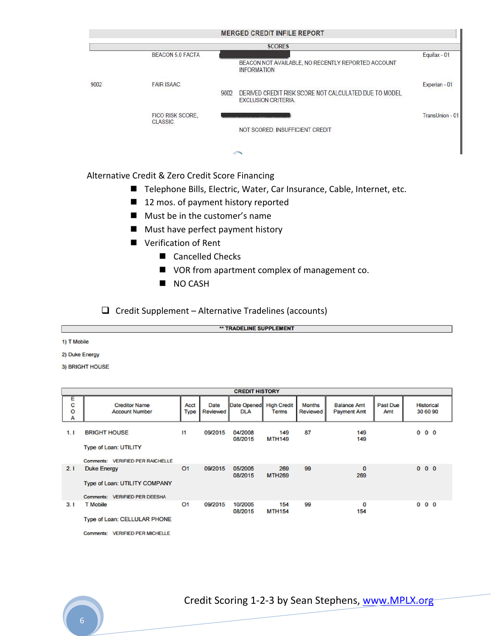|      |                                    |      | <b>SCORES</b>                                                                       |                 |
|------|------------------------------------|------|-------------------------------------------------------------------------------------|-----------------|
|      | <b>BEACON 5.0 FACTA</b>            |      |                                                                                     | Equifax - 01    |
|      |                                    |      | BEACON NOT AVAILABLE, NO RECENTLY REPORTED ACCOUNT<br><b>INFORMATION</b>            |                 |
| 9002 | <b>FAIR ISAAC</b>                  |      |                                                                                     | Experian - 01   |
|      |                                    | 9002 | DERIVED CREDIT RISK SCORE NOT CALCULATED DUE TO MODEL<br><b>EXCLUSION CRITERIA.</b> |                 |
|      | FICO RISK SCORE,<br><b>CLASSIC</b> |      |                                                                                     | TransUnion - 01 |
|      |                                    |      | NOT SCORED: INSUFFICIENT CREDIT                                                     |                 |
|      |                                    |      | $\sim$                                                                              |                 |

#### Alternative Credit & Zero Credit Score Financing

- Telephone Bills, Electric, Water, Car Insurance, Cable, Internet, etc.
- 12 mos. of payment history reported
- **Must be in the customer's name**
- **Must have perfect payment history**
- **U** Verification of Rent
	- Cancelled Checks
	- VOR from apartment complex of management co.
	- NO CASH

 $\Box$  Credit Supplement – Alternative Tradelines (accounts)

\*\* TRADELINE SUPPLEMENT

1) T Mobile

2) Duke Energy

3) BRIGHT HOUSE

|                        | <b>CREDIT HISTORY</b>                                                                                                    |                     |                         |                           |                                    |                           |                                          |                 |                               |  |  |
|------------------------|--------------------------------------------------------------------------------------------------------------------------|---------------------|-------------------------|---------------------------|------------------------------------|---------------------------|------------------------------------------|-----------------|-------------------------------|--|--|
| Ε<br>C<br>$\circ$<br>A | <b>Creditor Name</b><br><b>Account Number</b>                                                                            | Acct<br><b>Type</b> | <b>Date</b><br>Reviewed | Date Opened<br><b>DLA</b> | <b>High Credit</b><br><b>Terms</b> | <b>Months</b><br>Reviewed | <b>Balance Amt</b><br><b>Payment Amt</b> | Past Due<br>Amt | <b>Historical</b><br>30 60 90 |  |  |
| 1.1                    | <b>BRIGHT HOUSE</b><br><b>Type of Loan: UTILITY</b>                                                                      | $\mathbf{I}$        | 09/2015                 | 04/2008<br>08/2015        | 149<br><b>MTH149</b>               | 87                        | 149<br>149                               |                 | $0\quad 0\quad 0$             |  |  |
| 2.1                    | Comments: VERIFIED PER RAICHELLE<br><b>Duke Energy</b><br>Type of Loan: UTILITY COMPANY<br>Comments: VERIFIED PER DEESHA | O <sub>1</sub>      | 09/2015                 | 05/2005<br>08/2015        | 269<br><b>MTH269</b>               | 99                        | $\bf{0}$<br>269                          |                 | $0\quad 0\quad 0$             |  |  |
| 3.1                    | <b>T</b> Mobile<br>Type of Loan: CELLULAR PHONE                                                                          | O <sub>1</sub>      | 09/2015                 | 10/2005<br>08/2015        | 154<br><b>MTH154</b>               | 99                        | $\mathbf 0$<br>154                       |                 | 0 <sub>0</sub>                |  |  |

Comments: VERIFIED PER MICHELLE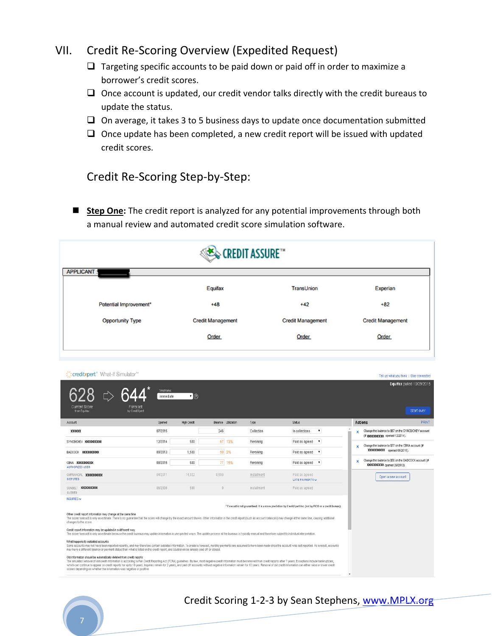### VII. Credit Re‐Scoring Overview (Expedited Request)

- $\Box$  Targeting specific accounts to be paid down or paid off in order to maximize a borrower's credit scores.
- $\Box$  Once account is updated, our credit vendor talks directly with the credit bureaus to update the status.
- $\Box$  On average, it takes 3 to 5 business days to update once documentation submitted
- $\Box$  Once update has been completed, a new credit report will be issued with updated credit scores.

### Credit Re‐Scoring Step‐by‐Step:

**Step One:** The credit report is analyzed for any potential improvements through both a manual review and automated credit score simulation software.

|                         | <b>EXECTED IT ASSURE</b> |                          |                          |
|-------------------------|--------------------------|--------------------------|--------------------------|
| <b>APPLICANT:</b>       |                          |                          |                          |
|                         | Equifax                  | <b>TransUnion</b>        | Experian                 |
| Potential Improvement*  | $+48$                    | $+42$                    | $+82$                    |
| <b>Opportunity Type</b> | <b>Credit Management</b> | <b>Credit Management</b> | <b>Credit Management</b> |
|                         | <b>Order</b>             | Order                    | Order                    |

| creditxpert <sup>*</sup> What-If Simulator <sup>**</sup>                                                                                                                                                                                                                                                                                                                                                                                                                                                                                                                                                                      |                                                              |                    |                     |             |                                                                                                              | Tell us what you think 1 Stay connected                                               |                                         |
|-------------------------------------------------------------------------------------------------------------------------------------------------------------------------------------------------------------------------------------------------------------------------------------------------------------------------------------------------------------------------------------------------------------------------------------------------------------------------------------------------------------------------------------------------------------------------------------------------------------------------------|--------------------------------------------------------------|--------------------|---------------------|-------------|--------------------------------------------------------------------------------------------------------------|---------------------------------------------------------------------------------------|-----------------------------------------|
| <b>Current Score</b><br>from Equitax                                                                                                                                                                                                                                                                                                                                                                                                                                                                                                                                                                                          | <b>Timetrame:</b><br>immediate<br>Forecast<br>by CreditXpert | $\cdot$ 0          |                     |             |                                                                                                              |                                                                                       | Equifax pulled 10/29/2015<br>Start over |
| Account                                                                                                                                                                                                                                                                                                                                                                                                                                                                                                                                                                                                                       | Opened                                                       | <b>High Credit</b> | Balance Utilization | Type        | <b>Status</b>                                                                                                | <b>Actions</b>                                                                        | PRINT                                   |
| XXXXXX                                                                                                                                                                                                                                                                                                                                                                                                                                                                                                                                                                                                                        | 07/2015                                                      |                    | 246                 | Collection  | In collections<br>$\pmb{\mathrm{v}}$                                                                         | Change the balance to \$67 on the SYNCB/CHEV account<br>×                             |                                         |
| SYNCBICHEV XXXXXXXXXX                                                                                                                                                                                                                                                                                                                                                                                                                                                                                                                                                                                                         | 12/2014                                                      | 500                | 67 13%              | Revolving   | Paid as agreed<br>$\mathbf{v}$                                                                               | Change the balance to \$77 on the CBNA account (#<br>×                                |                                         |
| BADCOCK XXXXXXXXXX                                                                                                                                                                                                                                                                                                                                                                                                                                                                                                                                                                                                            | 09/2013                                                      | 1,500              | 50 3%               | Revolving   | Paid as agreed v                                                                                             | XXXXXXXX opened 08/2015).                                                             |                                         |
| CBNA XXXXXXXXXX<br><b>AUTHORIZED USER</b>                                                                                                                                                                                                                                                                                                                                                                                                                                                                                                                                                                                     | 08/2015                                                      | 500                | 77 15%              | Revolving   | Paid as agreed v                                                                                             | Change the balance to \$50 on the BADCOCK account (#<br>×<br>XXXXXXX opened 09/2013). |                                         |
| GMFNANCIAL XXXXXXXXX<br><b>DISPUTED</b>                                                                                                                                                                                                                                                                                                                                                                                                                                                                                                                                                                                       | 04/2011                                                      | 14,022             | 8,590               | Installment | Paid as agreed<br>LATE PAYMENTS                                                                              | Open a new account                                                                    |                                         |
| SUNBELT XXXXXXXXXXX<br>CLOSED.                                                                                                                                                                                                                                                                                                                                                                                                                                                                                                                                                                                                | 06/2006                                                      | 598                | $\Omega$            | Installment | Paid as agreed                                                                                               |                                                                                       |                                         |
| INGURIES ~<br>Other credit report information may change at the same time<br>The score forecast is only an estimate. There is no guarantee that the score will change by the exact amount shown. Other information in the credit report (such as account balances) may change at the same time, causing add<br>changes to the score.<br>Credit report information may be updated in a different way<br>The score forecast is only an estimate because the credit bureaus may update information in unexpected ways. The update process at the bureaus is typically manual and therefore subject to individual interpretation. |                                                              |                    |                     |             | * Forecast is not guaranteed. It is a score prediction by CreditXpert Inc. (not by FICO or a credit bureau). |                                                                                       |                                         |
| What happens to outdated accounts<br>Some accounts may not have been reported recently, and may therefore contain outdated information. To create a forecast, monthly payments are assumed to have been made since the account was last reported. As a result, acco<br>may have a different balance or payment status than what is listed on the credit report, and could even be already paid off or closed.                                                                                                                                                                                                                 |                                                              |                    |                     |             |                                                                                                              |                                                                                       |                                         |
| Old information should be automatically deleted from credit reports<br>The simulated removal of old credit information is according to Fair Credit Reporting Act (FCRA) quidelines: By law, most negative credit information must be removed from credit reports after 7 years. Exceptions include ba<br>which can continue to appear on credit reports for up to 10 years. Inquiries remain for 2 years, and paid off accounts without negative information remain for 10 years. Removal of old credit information can either raise or<br>scores depending on whether the information was negative or postive.               |                                                              |                    |                     |             |                                                                                                              | $\checkmark$                                                                          |                                         |

## Credit Scoring 1‐2‐3 by Sean Stephens, www.MPLX.org